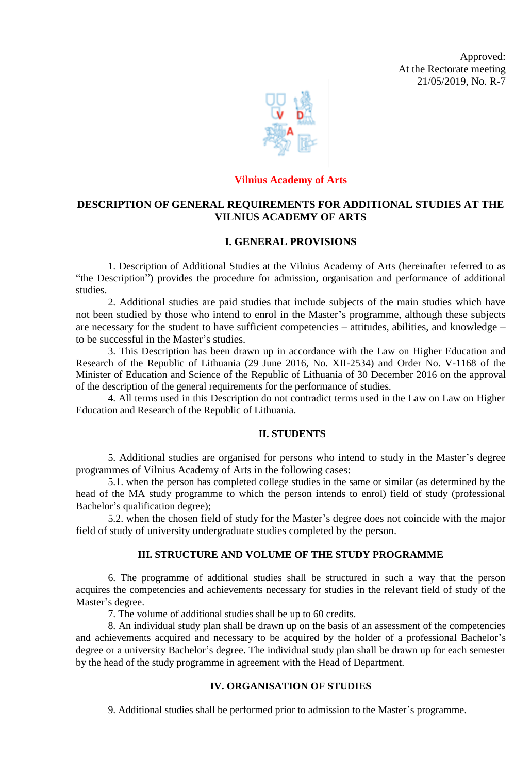Approved: At the Rectorate meeting 21/05/2019, No. R-7



#### **Vilnius Academy of Arts**

# **DESCRIPTION OF GENERAL REQUIREMENTS FOR ADDITIONAL STUDIES AT THE VILNIUS ACADEMY OF ARTS**

## **I. GENERAL PROVISIONS**

1. Description of Additional Studies at the Vilnius Academy of Arts (hereinafter referred to as "the Description") provides the procedure for admission, organisation and performance of additional studies.

2. Additional studies are paid studies that include subjects of the main studies which have not been studied by those who intend to enrol in the Master's programme, although these subjects are necessary for the student to have sufficient competencies – attitudes, abilities, and knowledge – to be successful in the Master's studies.

3. This Description has been drawn up in accordance with the Law on Higher Education and Research of the Republic of Lithuania (29 June 2016, No. XII-2534) and Order No. V-1168 of the Minister of Education and Science of the Republic of Lithuania of 30 December 2016 on the approval of the description of the general requirements for the performance of studies.

4. All terms used in this Description do not contradict terms used in the Law on Law on Higher Education and Research of the Republic of Lithuania.

### **II. STUDENTS**

5. Additional studies are organised for persons who intend to study in the Master's degree programmes of Vilnius Academy of Arts in the following cases:

5.1. when the person has completed college studies in the same or similar (as determined by the head of the MA study programme to which the person intends to enrol) field of study (professional Bachelor's qualification degree);

5.2. when the chosen field of study for the Master's degree does not coincide with the major field of study of university undergraduate studies completed by the person.

### **III. STRUCTURE AND VOLUME OF THE STUDY PROGRAMME**

6. The programme of additional studies shall be structured in such a way that the person acquires the competencies and achievements necessary for studies in the relevant field of study of the Master's degree.

7. The volume of additional studies shall be up to 60 credits.

8. An individual study plan shall be drawn up on the basis of an assessment of the competencies and achievements acquired and necessary to be acquired by the holder of a professional Bachelor's degree or a university Bachelor's degree. The individual study plan shall be drawn up for each semester by the head of the study programme in agreement with the Head of Department.

### **IV. ORGANISATION OF STUDIES**

9. Additional studies shall be performed prior to admission to the Master's programme.